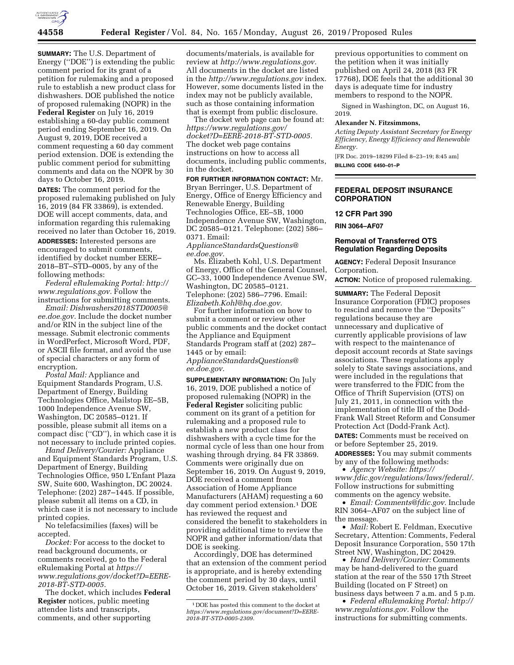

**SUMMARY:** The U.S. Department of Energy (''DOE'') is extending the public comment period for its grant of a petition for rulemaking and a proposed rule to establish a new product class for dishwashers. DOE published the notice of proposed rulemaking (NOPR) in the **Federal Register** on July 16, 2019 establishing a 60-day public comment period ending September 16, 2019. On August 9, 2019, DOE received a comment requesting a 60 day comment period extension. DOE is extending the public comment period for submitting comments and data on the NOPR by 30 days to October 16, 2019.

**DATES:** The comment period for the proposed rulemaking published on July 16, 2019 (84 FR 33869), is extended. DOE will accept comments, data, and information regarding this rulemaking received no later than October 16, 2019.

**ADDRESSES:** Interested persons are encouraged to submit comments, identified by docket number EERE– 2018–BT–STD–0005, by any of the following methods:

*Federal eRulemaking Portal: [http://](http://www.regulations.gov) [www.regulations.gov.](http://www.regulations.gov)* Follow the instructions for submitting comments.

*Email: [Dishwashers2018STD0005@](mailto:Dishwashers2018STD0005@ee.doe.gov) [ee.doe.gov.](mailto:Dishwashers2018STD0005@ee.doe.gov)* Include the docket number and/or RIN in the subject line of the message. Submit electronic comments in WordPerfect, Microsoft Word, PDF, or ASCII file format, and avoid the use of special characters or any form of encryption.

*Postal Mail:* Appliance and Equipment Standards Program, U.S. Department of Energy, Building Technologies Office, Mailstop EE–5B, 1000 Independence Avenue SW, Washington, DC 20585–0121. If possible, please submit all items on a compact disc (''CD''), in which case it is not necessary to include printed copies.

*Hand Delivery/Courier:* Appliance and Equipment Standards Program, U.S. Department of Energy, Building Technologies Office, 950 L'Enfant Plaza SW, Suite 600, Washington, DC 20024. Telephone: (202) 287–1445. If possible, please submit all items on a CD, in which case it is not necessary to include printed copies.

No telefacsimilies (faxes) will be accepted.

*Docket:* For access to the docket to read background documents, or comments received, go to the Federal eRulemaking Portal at *[https://](https://www.regulations.gov/docket?D=EERE-2018-BT-STD-0005) [www.regulations.gov/docket?D=EERE-](https://www.regulations.gov/docket?D=EERE-2018-BT-STD-0005)[2018-BT-STD-0005.](https://www.regulations.gov/docket?D=EERE-2018-BT-STD-0005)* 

The docket, which includes **Federal Register** notices, public meeting attendee lists and transcripts, comments, and other supporting

documents/materials, is available for review at *[http://www.regulations.gov.](http://www.regulations.gov)*  All documents in the docket are listed in the *<http://www.regulations.gov>*index. However, some documents listed in the index may not be publicly available, such as those containing information that is exempt from public disclosure.

The docket web page can be found at: *[https://www.regulations.gov/](https://www.regulations.gov/docket?D=EERE-2018-BT-STD-0005)  [docket?D=EERE-2018-BT-STD-0005.](https://www.regulations.gov/docket?D=EERE-2018-BT-STD-0005)*  The docket web page contains instructions on how to access all documents, including public comments, in the docket.

**FOR FURTHER INFORMATION CONTACT:** Mr. Bryan Berringer, U.S. Department of Energy, Office of Energy Efficiency and Renewable Energy, Building Technologies Office, EE–5B, 1000 Independence Avenue SW, Washington, DC 20585–0121. Telephone: (202) 586– 0371. Email:

*[ApplianceStandardsQuestions@](mailto:ApplianceStandardsQuestions@ee.doe.gov) [ee.doe.gov.](mailto:ApplianceStandardsQuestions@ee.doe.gov)* 

Ms. Elizabeth Kohl, U.S. Department of Energy, Office of the General Counsel, GC–33, 1000 Independence Avenue SW, Washington, DC 20585–0121. Telephone: (202) 586–7796. Email: *[Elizabeth.Kohl@hq.doe.gov.](mailto:Elizabeth.Kohl@hq.doe.gov)* 

For further information on how to submit a comment or review other public comments and the docket contact the Appliance and Equipment Standards Program staff at (202) 287– 1445 or by email:

*[ApplianceStandardsQuestions@](mailto:ApplianceStandardsQuestions@ee.doe.gov) [ee.doe.gov.](mailto:ApplianceStandardsQuestions@ee.doe.gov)* 

**SUPPLEMENTARY INFORMATION:** On July 16, 2019, DOE published a notice of proposed rulemaking (NOPR) in the **Federal Register** soliciting public comment on its grant of a petition for rulemaking and a proposed rule to establish a new product class for dishwashers with a cycle time for the normal cycle of less than one hour from washing through drying. 84 FR 33869. Comments were originally due on September 16, 2019. On August 9, 2019, DOE received a comment from Association of Home Appliance Manufacturers (AHAM) requesting a 60 day comment period extension.1 DOE has reviewed the request and considered the benefit to stakeholders in providing additional time to review the NOPR and gather information/data that DOE is seeking.

Accordingly, DOE has determined that an extension of the comment period is appropriate, and is hereby extending the comment period by 30 days, until October 16, 2019. Given stakeholders'

previous opportunities to comment on the petition when it was initially published on April 24, 2018 (83 FR 17768), DOE feels that the additional 30 days is adequate time for industry members to respond to the NOPR.

Signed in Washington, DC, on August 16, 2019.

#### **Alexander N. Fitzsimmons,**

*Acting Deputy Assistant Secretary for Energy Efficiency, Energy Efficiency and Renewable Energy.* 

[FR Doc. 2019–18299 Filed 8–23–19; 8:45 am] **BILLING CODE 6450–01–P** 

### **FEDERAL DEPOSIT INSURANCE CORPORATION**

#### **12 CFR Part 390**

**RIN 3064–AF07** 

### **Removal of Transferred OTS Regulation Regarding Deposits**

**AGENCY:** Federal Deposit Insurance Corporation.

**ACTION:** Notice of proposed rulemaking.

**SUMMARY:** The Federal Deposit Insurance Corporation (FDIC) proposes to rescind and remove the ''Deposits'' regulations because they are unnecessary and duplicative of currently applicable provisions of law with respect to the maintenance of deposit account records at State savings associations. These regulations apply solely to State savings associations, and were included in the regulations that were transferred to the FDIC from the Office of Thrift Supervision (OTS) on July 21, 2011, in connection with the implementation of title III of the Dodd-Frank Wall Street Reform and Consumer Protection Act (Dodd-Frank Act).

**DATES:** Comments must be received on or before September 25, 2019. **ADDRESSES:** You may submit comments

by any of the following methods: • *Agency Website: [https://](https://www.fdic.gov/regulations/laws/federal/)*

*[www.fdic.gov/regulations/laws/federal/.](https://www.fdic.gov/regulations/laws/federal/)*  Follow instructions for submitting comments on the agency website.

• *Email: [Comments@fdic.gov.](mailto:Comments@fdic.gov)* Include RIN 3064–AF07 on the subject line of the message.

• *Mail:* Robert E. Feldman, Executive Secretary, Attention: Comments, Federal Deposit Insurance Corporation, 550 17th Street NW, Washington, DC 20429.

• *Hand Delivery/Courier:* Comments may be hand-delivered to the guard station at the rear of the 550 17th Street Building (located on F Street) on business days between 7 a.m. and 5 p.m.

• *Federal eRulemaking Portal: [http://](http://www.regulations.gov)  [www.regulations.gov.](http://www.regulations.gov)* Follow the instructions for submitting comments.

<sup>1</sup> DOE has posted this comment to the docket at *[https://www.regulations.gov/document?D=EERE-](https://www.regulations.gov/document?D=EERE-2018-BT-STD-0005-2309)[2018-BT-STD-0005-2309.](https://www.regulations.gov/document?D=EERE-2018-BT-STD-0005-2309)*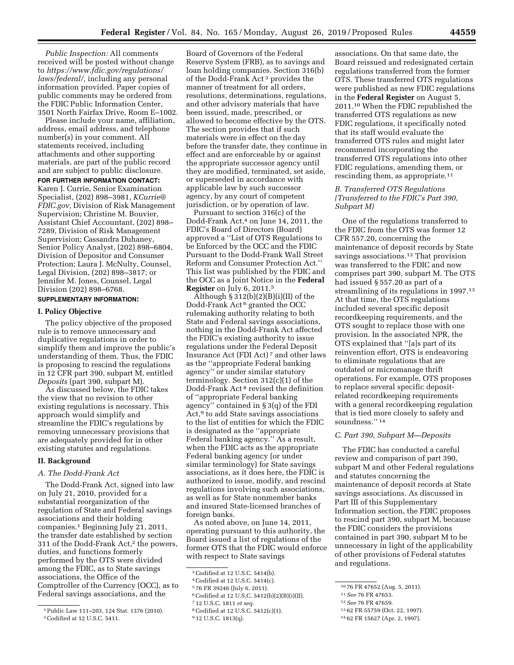*Public Inspection:* All comments received will be posted without change to *[https://www.fdic.gov/regulations/](https://www.fdic.gov/regulations/laws/federal/)  [laws/federal/,](https://www.fdic.gov/regulations/laws/federal/)* including any personal information provided. Paper copies of public comments may be ordered from

the FDIC Public Information Center, 3501 North Fairfax Drive, Room E–1002. Please include your name, affiliation, address, email address, and telephone number(s) in your comment. All statements received, including attachments and other supporting materials, are part of the public record and are subject to public disclosure.

#### **FOR FURTHER INFORMATION CONTACT:**

Karen J. Currie, Senior Examination Specialist, (202) 898–3981, *[KCurrie@](mailto:KCurrie@FDIC.gov) [FDIC.gov,](mailto:KCurrie@FDIC.gov)* Division of Risk Management Supervision; Christine M. Bouvier, Assistant Chief Accountant, (202) 898– 7289, Division of Risk Management Supervision; Cassandra Duhaney, Senior Policy Analyst, (202) 898–6804, Division of Depositor and Consumer Protection; Laura J. McNulty, Counsel, Legal Division, (202) 898–3817; or Jennifer M. Jones, Counsel, Legal Division (202) 898–6768.

# **SUPPLEMENTARY INFORMATION:**

#### **I. Policy Objective**

The policy objective of the proposed rule is to remove unnecessary and duplicative regulations in order to simplify them and improve the public's understanding of them. Thus, the FDIC is proposing to rescind the regulations in 12 CFR part 390, subpart M, entitled *Deposits* (part 390, subpart M).

As discussed below, the FDIC takes the view that no revision to other existing regulations is necessary. This approach would simplify and streamline the FDIC's regulations by removing unnecessary provisions that are adequately provided for in other existing statutes and regulations.

## **II. Background**

### *A. The Dodd-Frank Act*

The Dodd-Frank Act, signed into law on July 21, 2010, provided for a substantial reorganization of the regulation of State and Federal savings associations and their holding companies.1 Beginning July 21, 2011, the transfer date established by section 311 of the Dodd-Frank Act,2 the powers, duties, and functions formerly performed by the OTS were divided among the FDIC, as to State savings associations, the Office of the Comptroller of the Currency (OCC), as to Federal savings associations, and the

Board of Governors of the Federal Reserve System (FRB), as to savings and loan holding companies. Section 316(b) of the Dodd-Frank Act 3 provides the manner of treatment for all orders, resolutions, determinations, regulations, and other advisory materials that have been issued, made, prescribed, or allowed to become effective by the OTS. The section provides that if such materials were in effect on the day before the transfer date, they continue in effect and are enforceable by or against the appropriate successor agency until they are modified, terminated, set aside, or superseded in accordance with applicable law by such successor agency, by any court of competent jurisdiction, or by operation of law.

Pursuant to section 316(c) of the Dodd-Frank Act,<sup>4</sup> on June 14, 2011, the FDIC's Board of Directors (Board) approved a ''List of OTS Regulations to be Enforced by the OCC and the FDIC Pursuant to the Dodd-Frank Wall Street Reform and Consumer Protection Act.'' This list was published by the FDIC and the OCC as a Joint Notice in the **Federal Register** on July 6, 2011.5

Although  $\S 312(b)(2)(B)(i)(II)$  of the Dodd-Frank Act 6 granted the OCC rulemaking authority relating to both State and Federal savings associations, nothing in the Dodd-Frank Act affected the FDIC's existing authority to issue regulations under the Federal Deposit Insurance Act (FDI Act) 7 and other laws as the ''appropriate Federal banking agency'' or under similar statutory terminology. Section 312(c)(1) of the Dodd-Frank Act 8 revised the definition of ''appropriate Federal banking agency'' contained in § 3(q) of the FDI Act,<sup>9</sup> to add State savings associations to the list of entities for which the FDIC is designated as the ''appropriate Federal banking agency.'' As a result, when the FDIC acts as the appropriate Federal banking agency (or under similar terminology) for State savings associations, as it does here, the FDIC is authorized to issue, modify, and rescind regulations involving such associations, as well as for State nonmember banks and insured State-licensed branches of foreign banks.

As noted above, on June 14, 2011, operating pursuant to this authority, the Board issued a list of regulations of the former OTS that the FDIC would enforce with respect to State savings

4Codified at 12 U.S.C. 5414(c).

- 6Codified at 12 U.S.C. 5412(b)(2)(B)(i)(II).
- 7 12 U.S.C. 1811 *et seq.*
- 8Codified at 12 U.S.C. 5412(c)(1).

associations. On that same date, the Board reissued and redesignated certain regulations transferred from the former OTS. These transferred OTS regulations were published as new FDIC regulations in the **Federal Register** on August 5, 2011.10 When the FDIC republished the transferred OTS regulations as new FDIC regulations, it specifically noted that its staff would evaluate the transferred OTS rules and might later recommend incorporating the transferred OTS regulations into other FDIC regulations, amending them, or rescinding them, as appropriate.<sup>11</sup>

## *B. Transferred OTS Regulations (Transferred to the FDIC's Part 390, Subpart M)*

One of the regulations transferred to the FDIC from the OTS was former 12 CFR 557.20, concerning the maintenance of deposit records by State savings associations.12 That provision was transferred to the FDIC and now comprises part 390, subpart M. The OTS had issued § 557.20 as part of a streamlining of its regulations in 1997.13 At that time, the OTS regulations included several specific deposit recordkeeping requirements, and the OTS sought to replace those with one provision. In the associated NPR, the OTS explained that ''[a]s part of its reinvention effort, OTS is endeavoring to eliminate regulations that are outdated or micromanage thrift operations. For example, OTS proposes to replace several specific depositrelated recordkeeping requirements with a general recordkeeping regulation that is tied more closely to safety and soundness."<sup>14</sup>

#### *C. Part 390, Subpart M—Deposits*

The FDIC has conducted a careful review and comparison of part 390, subpart M and other Federal regulations and statutes concerning the maintenance of deposit records at State savings associations. As discussed in Part III of this Supplementary Information section, the FDIC proposes to rescind part 390, subpart M, because the FDIC considers the provisions contained in part 390, subpart M to be unnecessary in light of the applicability of other provisions of Federal statutes and regulations.

<sup>1</sup>Public Law 111–203, 124 Stat. 1376 (2010). 2Codified at 12 U.S.C. 5411.

<sup>3</sup>Codified at 12 U.S.C. 5414(b).

<sup>5</sup> 76 FR 39246 (July 6, 2011).

<sup>9</sup> 12 U.S.C. 1813(q).

<sup>10</sup> 76 FR 47652 (Aug. 5, 2011).

<sup>11</sup>*See* 76 FR 47653.

<sup>12</sup>*See* 76 FR 47659.

<sup>13</sup> 62 FR 55759 (Oct. 22, 1997).

<sup>14</sup> 62 FR 15627 (Apr. 2, 1997).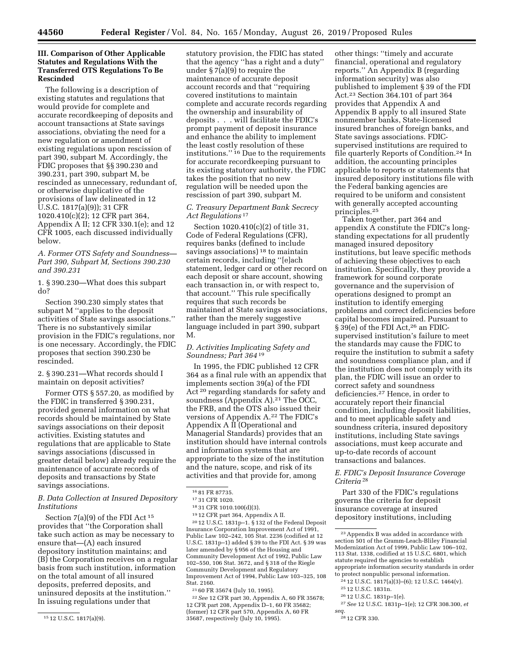## **III. Comparison of Other Applicable Statutes and Regulations With the Transferred OTS Regulations To Be Rescinded**

The following is a description of existing statutes and regulations that would provide for complete and accurate recordkeeping of deposits and account transactions at State savings associations, obviating the need for a new regulation or amendment of existing regulations upon rescission of part 390, subpart M. Accordingly, the FDIC proposes that §§ 390.230 and 390.231, part 390, subpart M, be rescinded as unnecessary, redundant of, or otherwise duplicative of the provisions of law delineated in 12 U.S.C. 1817(a)(9)); 31 CFR 1020.410(c)(2); 12 CFR part 364, Appendix A II; 12 CFR 330.1(e); and 12 CFR 1005, each discussed individually below.

### *A. Former OTS Safety and Soundness— Part 390, Subpart M, Sections 390.230 and 390.231*

1. § 390.230—What does this subpart do?

Section 390.230 simply states that subpart M ''applies to the deposit activities of State savings associations.'' There is no substantively similar provision in the FDIC's regulations, nor is one necessary. Accordingly, the FDIC proposes that section 390.230 be rescinded.

2. § 390.231—What records should I maintain on deposit activities?

Former OTS § 557.20, as modified by the FDIC in transferred § 390.231, provided general information on what records should be maintained by State savings associations on their deposit activities. Existing statutes and regulations that are applicable to State savings associations (discussed in greater detail below) already require the maintenance of accurate records of deposits and transactions by State savings associations.

## *B. Data Collection at Insured Depository Institutions*

Section 7(a)(9) of the FDI Act 15 provides that ''the Corporation shall take such action as may be necessary to ensure that—(A) each insured depository institution maintains; and (B) the Corporation receives on a regular basis from such institution, information on the total amount of all insured deposits, preferred deposits, and uninsured deposits at the institution.'' In issuing regulations under that

statutory provision, the FDIC has stated that the agency ''has a right and a duty'' under § 7(a)(9) to require the maintenance of accurate deposit account records and that ''requiring covered institutions to maintain complete and accurate records regarding the ownership and insurability of deposits . . . will facilitate the FDIC's prompt payment of deposit insurance and enhance the ability to implement the least costly resolution of these institutions.'' 16 Due to the requirements for accurate recordkeeping pursuant to its existing statutory authority, the FDIC takes the position that no new regulation will be needed upon the rescission of part 390, subpart M.

*C. Treasury Department Bank Secrecy Act Regulations* 17

Section 1020.410(c)(2) of title 31, Code of Federal Regulations (CFR), requires banks (defined to include savings associations) 18 to maintain certain records, including ''[e]ach statement, ledger card or other record on each deposit or share account, showing each transaction in, or with respect to, that account.'' This rule specifically requires that such records be maintained at State savings associations, rather than the merely suggestive language included in part 390, subpart M.

## *D. Activities Implicating Safety and Soundness; Part 364* 19

In 1995, the FDIC published 12 CFR 364 as a final rule with an appendix that implements section 39(a) of the FDI Act 20 regarding standards for safety and soundness (Appendix  $A$ ).<sup>21</sup> The OCC, the FRB, and the OTS also issued their versions of Appendix A.22 The FDIC's Appendix A II (Operational and Managerial Standards) provides that an institution should have internal controls and information systems that are appropriate to the size of the institution and the nature, scope, and risk of its activities and that provide for, among

20 12 U.S.C. 1831p–1. § 132 of the Federal Deposit Insurance Corporation Improvement Act of 1991, Public Law 102–242, 105 Stat. 2236 (codified at 12 U.S.C. 1831p–1) added § 39 to the FDI Act. § 39 was later amended by § 956 of the Housing and Community Development Act of 1992, Public Law 102–550, 106 Stat. 3672, and § 318 of the Riegle Community Development and Regulatory Improvement Act of 1994, Public Law 103–325, 108 Stat. 2160.

21 60 FR 35674 (July 10, 1995).

22*See* 12 CFR part 30, Appendix A, 60 FR 35678; 12 CFR part 208, Appendix D–1, 60 FR 35682; (former) 12 CFR part 570, Appendix A, 60 FR 35687, respectively (July 10, 1995).

other things: ''timely and accurate financial, operational and regulatory reports.'' An Appendix B (regarding information security) was also published to implement § 39 of the FDI Act.23 Section 364.101 of part 364 provides that Appendix A and Appendix B apply to all insured State nonmember banks, State-licensed insured branches of foreign banks, and State savings associations. FDICsupervised institutions are required to file quarterly Reports of Condition.24 In addition, the accounting principles applicable to reports or statements that insured depository institutions file with the Federal banking agencies are required to be uniform and consistent with generally accepted accounting principles.25

Taken together, part 364 and appendix A constitute the FDIC's longstanding expectations for all prudently managed insured depository institutions, but leave specific methods of achieving these objectives to each institution. Specifically, they provide a framework for sound corporate governance and the supervision of operations designed to prompt an institution to identify emerging problems and correct deficiencies before capital becomes impaired. Pursuant to § 39(e) of the FDI Act,<sup>26</sup> an FDICsupervised institution's failure to meet the standards may cause the FDIC to require the institution to submit a safety and soundness compliance plan, and if the institution does not comply with its plan, the FDIC will issue an order to correct safety and soundness deficiencies.27 Hence, in order to accurately report their financial condition, including deposit liabilities, and to meet applicable safety and soundness criteria, insured depository institutions, including State savings associations, must keep accurate and up-to-date records of account transactions and balances.

*E. FDIC's Deposit Insurance Coverage Criteria* 28

Part 330 of the FDIC's regulations governs the criteria for deposit insurance coverage at insured depository institutions, including

26 12 U.S.C. 1831p–1(e).

*seq.*  28 12 CFR 330.

<sup>15</sup> 12 U.S.C. 1817(a)(9).

<sup>16</sup> 81 FR 87735.

<sup>17</sup> 31 CFR 1020.

<sup>18</sup> 31 CFR 1010.100(d)(3).

<sup>19</sup> 12 CFR part 364, Appendix A II.

<sup>23</sup>Appendix B was added in accordance with section 501 of the Gramm-Leach-Bliley Financial Modernization Act of 1999, Public Law 106–102, 113 Stat. 1338, codified at 15 U.S.C. 6801, which statute required the agencies to establish appropriate information security standards in order to protect nonpublic personal information.

<sup>24</sup> 12 U.S.C. 1817(a)(3)–(6); 12 U.S.C. 1464(v).

<sup>25</sup> 12 U.S.C. 1831n.

<sup>27</sup>*See* 12 U.S.C. 1831p–1(e); 12 CFR 308.300, *et*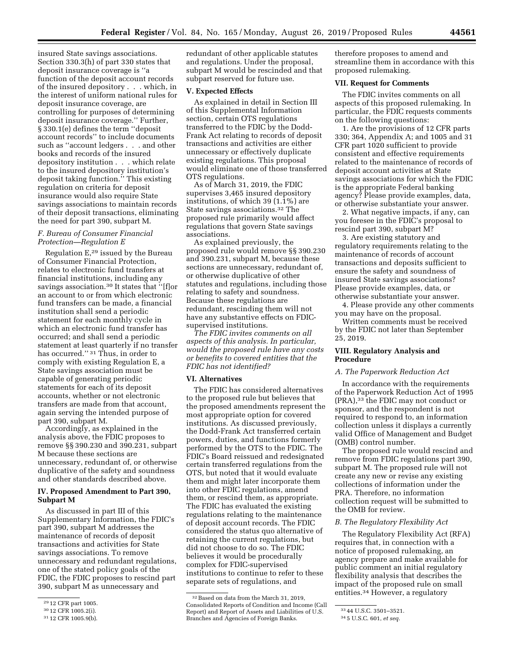insured State savings associations. Section 330.3(h) of part 330 states that deposit insurance coverage is ''a function of the deposit account records of the insured depository . . . which, in the interest of uniform national rules for deposit insurance coverage, are controlling for purposes of determining deposit insurance coverage.'' Further, § 330.1(e) defines the term ''deposit account records'' to include documents such as ''account ledgers . . . and other books and records of the insured depository institution . . . which relate to the insured depository institution's deposit taking function.'' This existing regulation on criteria for deposit insurance would also require State savings associations to maintain records of their deposit transactions, eliminating the need for part 390, subpart M.

## *F. Bureau of Consumer Financial Protection—Regulation E*

Regulation E,29 issued by the Bureau of Consumer Financial Protection, relates to electronic fund transfers at financial institutions, including any savings association.30 It states that ''[f]or an account to or from which electronic fund transfers can be made, a financial institution shall send a periodic statement for each monthly cycle in which an electronic fund transfer has occurred; and shall send a periodic statement at least quarterly if no transfer has occurred.'' 31 Thus, in order to comply with existing Regulation E, a State savings association must be capable of generating periodic statements for each of its deposit accounts, whether or not electronic transfers are made from that account, again serving the intended purpose of part 390, subpart M.

Accordingly, as explained in the analysis above, the FDIC proposes to remove §§ 390.230 and 390.231, subpart M because these sections are unnecessary, redundant of, or otherwise duplicative of the safety and soundness and other standards described above.

## **IV. Proposed Amendment to Part 390, Subpart M**

As discussed in part III of this Supplementary Information, the FDIC's part 390, subpart M addresses the maintenance of records of deposit transactions and activities for State savings associations. To remove unnecessary and redundant regulations, one of the stated policy goals of the FDIC, the FDIC proposes to rescind part 390, subpart M as unnecessary and

redundant of other applicable statutes and regulations. Under the proposal, subpart M would be rescinded and that subpart reserved for future use.

### **V. Expected Effects**

As explained in detail in Section III of this Supplemental Information section, certain OTS regulations transferred to the FDIC by the Dodd-Frank Act relating to records of deposit transactions and activities are either unnecessary or effectively duplicate existing regulations. This proposal would eliminate one of those transferred OTS regulations.

As of March 31, 2019, the FDIC supervises 3,465 insured depository institutions, of which 39 (1.1%) are State savings associations.32 The proposed rule primarily would affect regulations that govern State savings associations.

As explained previously, the proposed rule would remove §§ 390.230 and 390.231, subpart M, because these sections are unnecessary, redundant of, or otherwise duplicative of other statutes and regulations, including those relating to safety and soundness. Because these regulations are redundant, rescinding them will not have any substantive effects on FDICsupervised institutions.

*The FDIC invites comments on all aspects of this analysis. In particular, would the proposed rule have any costs or benefits to covered entities that the FDIC has not identified?* 

### **VI. Alternatives**

The FDIC has considered alternatives to the proposed rule but believes that the proposed amendments represent the most appropriate option for covered institutions. As discussed previously, the Dodd-Frank Act transferred certain powers, duties, and functions formerly performed by the OTS to the FDIC. The FDIC's Board reissued and redesignated certain transferred regulations from the OTS, but noted that it would evaluate them and might later incorporate them into other FDIC regulations, amend them, or rescind them, as appropriate. The FDIC has evaluated the existing regulations relating to the maintenance of deposit account records. The FDIC considered the status quo alternative of retaining the current regulations, but did not choose to do so. The FDIC believes it would be procedurally complex for FDIC-supervised institutions to continue to refer to these separate sets of regulations, and

therefore proposes to amend and streamline them in accordance with this proposed rulemaking.

### **VII. Request for Comments**

The FDIC invites comments on all aspects of this proposed rulemaking. In particular, the FDIC requests comments on the following questions:

1. Are the provisions of 12 CFR parts 330; 364, Appendix A; and 1005 and 31 CFR part 1020 sufficient to provide consistent and effective requirements related to the maintenance of records of deposit account activities at State savings associations for which the FDIC is the appropriate Federal banking agency? Please provide examples, data, or otherwise substantiate your answer.

2. What negative impacts, if any, can you foresee in the FDIC's proposal to rescind part 390, subpart M?

3. Are existing statutory and regulatory requirements relating to the maintenance of records of account transactions and deposits sufficient to ensure the safety and soundness of insured State savings associations? Please provide examples, data, or otherwise substantiate your answer.

4. Please provide any other comments you may have on the proposal.

Written comments must be received by the FDIC not later than September 25, 2019.

## **VIII. Regulatory Analysis and Procedure**

#### *A. The Paperwork Reduction Act*

In accordance with the requirements of the Paperwork Reduction Act of 1995 (PRA),33 the FDIC may not conduct or sponsor, and the respondent is not required to respond to, an information collection unless it displays a currently valid Office of Management and Budget (OMB) control number.

The proposed rule would rescind and remove from FDIC regulations part 390, subpart M. The proposed rule will not create any new or revise any existing collections of information under the PRA. Therefore, no information collection request will be submitted to the OMB for review.

#### *B. The Regulatory Flexibility Act*

The Regulatory Flexibility Act (RFA) requires that, in connection with a notice of proposed rulemaking, an agency prepare and make available for public comment an initial regulatory flexibility analysis that describes the impact of the proposed rule on small entities.34 However, a regulatory

<sup>29</sup> 12 CFR part 1005.

<sup>30</sup> 12 CFR 1005.2(i).

<sup>31</sup> 12 CFR 1005.9(b).

<sup>32</sup>Based on data from the March 31, 2019, Consolidated Reports of Condition and Income (Call Report) and Report of Assets and Liabilities of U.S. Branches and Agencies of Foreign Banks.

<sup>33</sup> 44 U.S.C. 3501–3521.

<sup>34</sup> 5 U.S.C. 601, *et seq.*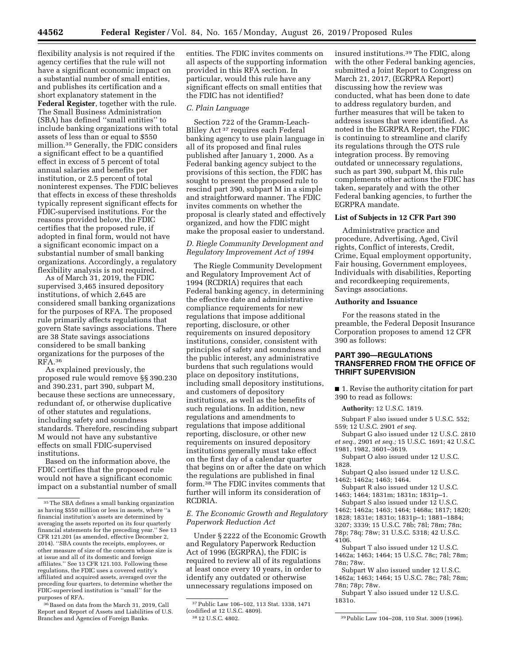flexibility analysis is not required if the agency certifies that the rule will not have a significant economic impact on a substantial number of small entities, and publishes its certification and a short explanatory statement in the **Federal Register**, together with the rule. The Small Business Administration (SBA) has defined ''small entities'' to include banking organizations with total assets of less than or equal to \$550 million.35 Generally, the FDIC considers a significant effect to be a quantified effect in excess of 5 percent of total annual salaries and benefits per institution, or 2.5 percent of total noninterest expenses. The FDIC believes that effects in excess of these thresholds typically represent significant effects for FDIC-supervised institutions. For the reasons provided below, the FDIC certifies that the proposed rule, if adopted in final form, would not have a significant economic impact on a substantial number of small banking organizations. Accordingly, a regulatory flexibility analysis is not required.

As of March 31, 2019, the FDIC supervised 3,465 insured depository institutions, of which 2,645 are considered small banking organizations for the purposes of RFA. The proposed rule primarily affects regulations that govern State savings associations. There are 38 State savings associations considered to be small banking organizations for the purposes of the RFA.36

As explained previously, the proposed rule would remove §§ 390.230 and 390.231, part 390, subpart M, because these sections are unnecessary, redundant of, or otherwise duplicative of other statutes and regulations, including safety and soundness standards. Therefore, rescinding subpart M would not have any substantive effects on small FDIC-supervised institutions.

Based on the information above, the FDIC certifies that the proposed rule would not have a significant economic impact on a substantial number of small

<sup>36</sup> Based on data from the March 31, 2019, Call Report and Report of Assets and Liabilities of U.S. Branches and Agencies of Foreign Banks.

entities. The FDIC invites comments on all aspects of the supporting information provided in this RFA section. In particular, would this rule have any significant effects on small entities that the FDIC has not identified?

#### *C. Plain Language*

Section 722 of the Gramm-Leach-Bliley Act 37 requires each Federal banking agency to use plain language in all of its proposed and final rules published after January 1, 2000. As a Federal banking agency subject to the provisions of this section, the FDIC has sought to present the proposed rule to rescind part 390, subpart M in a simple and straightforward manner. The FDIC invites comments on whether the proposal is clearly stated and effectively organized, and how the FDIC might make the proposal easier to understand.

# *D. Riegle Community Development and Regulatory Improvement Act of 1994*

The Riegle Community Development and Regulatory Improvement Act of 1994 (RCDRIA) requires that each Federal banking agency, in determining the effective date and administrative compliance requirements for new regulations that impose additional reporting, disclosure, or other requirements on insured depository institutions, consider, consistent with principles of safety and soundness and the public interest, any administrative burdens that such regulations would place on depository institutions, including small depository institutions, and customers of depository institutions, as well as the benefits of such regulations. In addition, new regulations and amendments to regulations that impose additional reporting, disclosure, or other new requirements on insured depository institutions generally must take effect on the first day of a calendar quarter that begins on or after the date on which the regulations are published in final form.38 The FDIC invites comments that further will inform its consideration of RCDRIA.

### *E. The Economic Growth and Regulatory Paperwork Reduction Act*

Under § 2222 of the Economic Growth and Regulatory Paperwork Reduction Act of 1996 (EGRPRA), the FDIC is required to review all of its regulations at least once every 10 years, in order to identify any outdated or otherwise unnecessary regulations imposed on

insured institutions.39 The FDIC, along with the other Federal banking agencies, submitted a Joint Report to Congress on March 21, 2017, (EGRPRA Report) discussing how the review was conducted, what has been done to date to address regulatory burden, and further measures that will be taken to address issues that were identified. As noted in the EGRPRA Report, the FDIC is continuing to streamline and clarify its regulations through the OTS rule integration process. By removing outdated or unnecessary regulations, such as part 390, subpart M, this rule complements other actions the FDIC has taken, separately and with the other Federal banking agencies, to further the EGRPRA mandate.

#### **List of Subjects in 12 CFR Part 390**

Administrative practice and procedure, Advertising, Aged, Civil rights, Conflict of interests, Credit, Crime, Equal employment opportunity, Fair housing, Government employees, Individuals with disabilities, Reporting and recordkeeping requirements, Savings associations.

#### **Authority and Issuance**

For the reasons stated in the preamble, the Federal Deposit Insurance Corporation proposes to amend 12 CFR 390 as follows:

## **PART 390—REGULATIONS TRANSFERRED FROM THE OFFICE OF THRIFT SUPERVISION**

■ 1. Revise the authority citation for part 390 to read as follows:

**Authority:** 12 U.S.C. 1819.

Subpart F also issued under 5 U.S.C. 552; 559; 12 U.S.C. 2901 *et seq.* 

- Subpart G also issued under 12 U.S.C. 2810 *et seq.,* 2901 *et seq.;* 15 U.S.C. 1691; 42 U.S.C. 1981, 1982, 3601–3619.
- Subpart O also issued under 12 U.S.C. 1828.
- Subpart Q also issued under 12 U.S.C. 1462; 1462a; 1463; 1464.
- Subpart R also issued under 12 U.S.C. 1463; 1464; 1831m; 1831n; 1831p–1.
- Subpart S also issued under 12 U.S.C.
- 1462; 1462a; 1463; 1464; 1468a; 1817; 1820; 1828; 1831e; 1831o; 1831p–1; 1881–1884;
- 3207; 3339; 15 U.S.C. 78b; 78l; 78m; 78n; 78p; 78q; 78w; 31 U.S.C. 5318; 42 U.S.C. 4106.
- Subpart T also issued under 12 U.S.C. 1462a; 1463; 1464; 15 U.S.C. 78c; 78l; 78m; 78n; 78w.

Subpart W also issued under 12 U.S.C. 1462a; 1463; 1464; 15 U.S.C. 78c; 78l; 78m; 78n; 78p; 78w.

Subpart Y also issued under 12 U.S.C. 1831o.

<sup>35</sup>The SBA defines a small banking organization as having \$550 million or less in assets, where ''a financial institution's assets are determined by averaging the assets reported on its four quarterly financial statements for the preceding year." See 13 CFR 121.201 (as amended, effective December 2, 2014). ''SBA counts the receipts, employees, or other measure of size of the concern whose size is at issue and all of its domestic and foreign affiliates.'' See 13 CFR 121.103. Following these regulations, the FDIC uses a covered entity's affiliated and acquired assets, averaged over the preceding four quarters, to determine whether the FDIC-supervised institution is ''small'' for the purposes of RFA.

<sup>37</sup>Public Law 106–102, 113 Stat. 1338, 1471 (codified at 12 U.S.C. 4809).<br><sup>38</sup> 12 U.S.C. 4802.